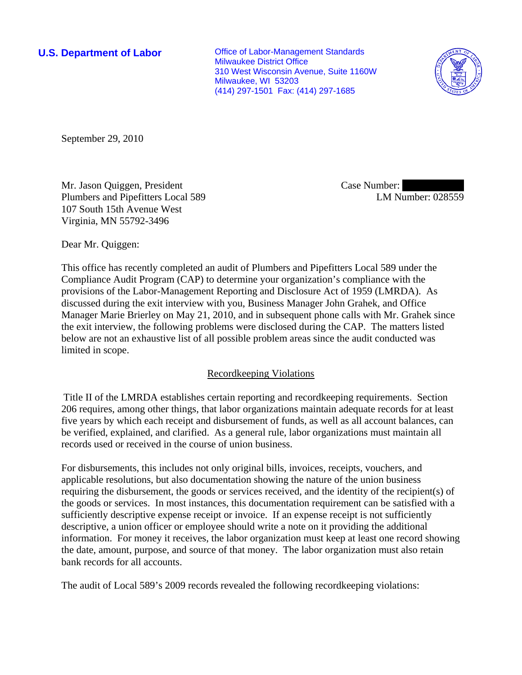**U.S. Department of Labor Conservative Conservative Conservative Conservative Conservative Conservative Conservative Conservative Conservative Conservative Conservative Conservative Conservative Conservative Conservative** Milwaukee District Office 310 West Wisconsin Avenue, Suite 1160W Milwaukee, WI 53203 (414) 297-1501 Fax: (414) 297-1685



September 29, 2010

Mr. Jason Quiggen, President Plumbers and Pipefitters Local 589 107 South 15th Avenue West Virginia, MN 55792-3496

Case Number: LM Number: 028559

Dear Mr. Quiggen:

This office has recently completed an audit of Plumbers and Pipefitters Local 589 under the Compliance Audit Program (CAP) to determine your organization's compliance with the provisions of the Labor-Management Reporting and Disclosure Act of 1959 (LMRDA). As discussed during the exit interview with you, Business Manager John Grahek, and Office Manager Marie Brierley on May 21, 2010, and in subsequent phone calls with Mr. Grahek since the exit interview, the following problems were disclosed during the CAP. The matters listed below are not an exhaustive list of all possible problem areas since the audit conducted was limited in scope.

# Recordkeeping Violations

Title II of the LMRDA establishes certain reporting and recordkeeping requirements. Section 206 requires, among other things, that labor organizations maintain adequate records for at least five years by which each receipt and disbursement of funds, as well as all account balances, can be verified, explained, and clarified. As a general rule, labor organizations must maintain all records used or received in the course of union business.

For disbursements, this includes not only original bills, invoices, receipts, vouchers, and applicable resolutions, but also documentation showing the nature of the union business requiring the disbursement, the goods or services received, and the identity of the recipient(s) of the goods or services. In most instances, this documentation requirement can be satisfied with a sufficiently descriptive expense receipt or invoice. If an expense receipt is not sufficiently descriptive, a union officer or employee should write a note on it providing the additional information. For money it receives, the labor organization must keep at least one record showing the date, amount, purpose, and source of that money. The labor organization must also retain bank records for all accounts.

The audit of Local 589's 2009 records revealed the following recordkeeping violations: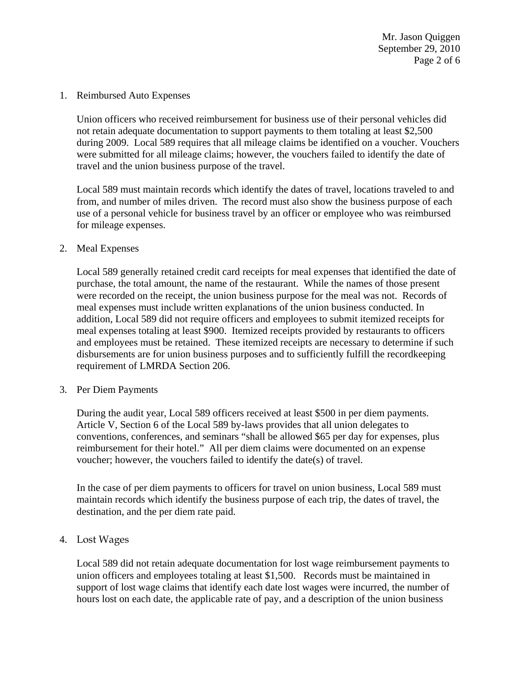Mr. Jason Quiggen September 29, 2010 Page 2 of 6

1. Reimbursed Auto Expenses

Union officers who received reimbursement for business use of their personal vehicles did not retain adequate documentation to support payments to them totaling at least \$2,500 during 2009. Local 589 requires that all mileage claims be identified on a voucher. Vouchers were submitted for all mileage claims; however, the vouchers failed to identify the date of travel and the union business purpose of the travel.

Local 589 must maintain records which identify the dates of travel, locations traveled to and from, and number of miles driven. The record must also show the business purpose of each use of a personal vehicle for business travel by an officer or employee who was reimbursed for mileage expenses.

### 2. Meal Expenses

Local 589 generally retained credit card receipts for meal expenses that identified the date of purchase, the total amount, the name of the restaurant. While the names of those present were recorded on the receipt, the union business purpose for the meal was not. Records of meal expenses must include written explanations of the union business conducted. In addition, Local 589 did not require officers and employees to submit itemized receipts for meal expenses totaling at least \$900. Itemized receipts provided by restaurants to officers and employees must be retained. These itemized receipts are necessary to determine if such disbursements are for union business purposes and to sufficiently fulfill the recordkeeping requirement of LMRDA Section 206.

#### 3. Per Diem Payments

During the audit year, Local 589 officers received at least \$500 in per diem payments. Article V, Section 6 of the Local 589 by-laws provides that all union delegates to conventions, conferences, and seminars "shall be allowed \$65 per day for expenses, plus reimbursement for their hotel." All per diem claims were documented on an expense voucher; however, the vouchers failed to identify the date(s) of travel.

In the case of per diem payments to officers for travel on union business, Local 589 must maintain records which identify the business purpose of each trip, the dates of travel, the destination, and the per diem rate paid.

## 4. Lost Wages

Local 589 did not retain adequate documentation for lost wage reimbursement payments to union officers and employees totaling at least \$1,500. Records must be maintained in support of lost wage claims that identify each date lost wages were incurred, the number of hours lost on each date, the applicable rate of pay, and a description of the union business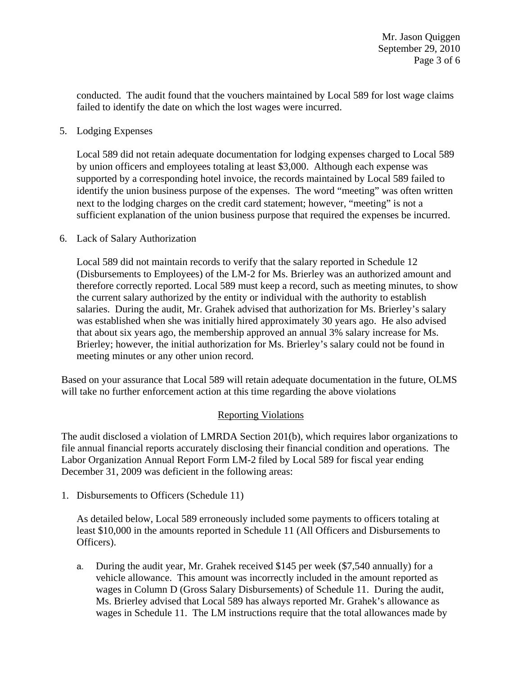conducted. The audit found that the vouchers maintained by Local 589 for lost wage claims failed to identify the date on which the lost wages were incurred.

## 5. Lodging Expenses

Local 589 did not retain adequate documentation for lodging expenses charged to Local 589 by union officers and employees totaling at least \$3,000. Although each expense was supported by a corresponding hotel invoice, the records maintained by Local 589 failed to identify the union business purpose of the expenses. The word "meeting" was often written next to the lodging charges on the credit card statement; however, "meeting" is not a sufficient explanation of the union business purpose that required the expenses be incurred.

### 6. Lack of Salary Authorization

Local 589 did not maintain records to verify that the salary reported in Schedule 12 (Disbursements to Employees) of the LM-2 for Ms. Brierley was an authorized amount and therefore correctly reported. Local 589 must keep a record, such as meeting minutes, to show the current salary authorized by the entity or individual with the authority to establish salaries. During the audit, Mr. Grahek advised that authorization for Ms. Brierley's salary was established when she was initially hired approximately 30 years ago. He also advised that about six years ago, the membership approved an annual 3% salary increase for Ms. Brierley; however, the initial authorization for Ms. Brierley's salary could not be found in meeting minutes or any other union record.

Based on your assurance that Local 589 will retain adequate documentation in the future, OLMS will take no further enforcement action at this time regarding the above violations

# Reporting Violations

The audit disclosed a violation of LMRDA Section 201(b), which requires labor organizations to file annual financial reports accurately disclosing their financial condition and operations. The Labor Organization Annual Report Form LM-2 filed by Local 589 for fiscal year ending December 31, 2009 was deficient in the following areas:

1. Disbursements to Officers (Schedule 11)

As detailed below, Local 589 erroneously included some payments to officers totaling at least \$10,000 in the amounts reported in Schedule 11 (All Officers and Disbursements to Officers).

a. During the audit year, Mr. Grahek received \$145 per week (\$7,540 annually) for a vehicle allowance. This amount was incorrectly included in the amount reported as wages in Column D (Gross Salary Disbursements) of Schedule 11. During the audit, Ms. Brierley advised that Local 589 has always reported Mr. Grahek's allowance as wages in Schedule 11. The LM instructions require that the total allowances made by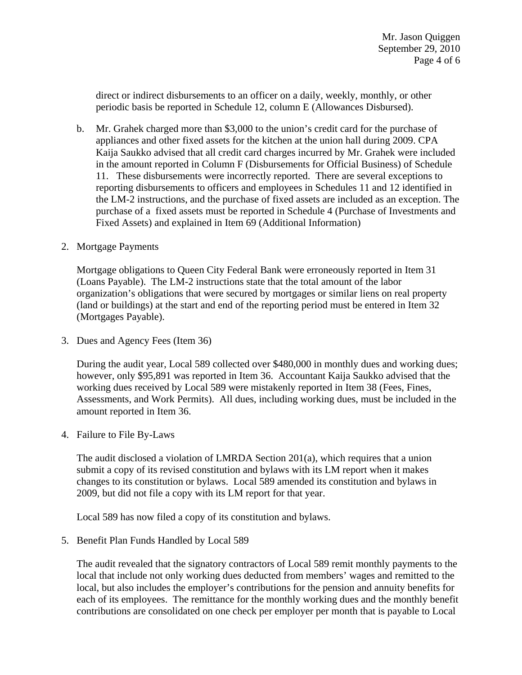direct or indirect disbursements to an officer on a daily, weekly, monthly, or other periodic basis be reported in Schedule 12, column E (Allowances Disbursed).

- b. Mr. Grahek charged more than \$3,000 to the union's credit card for the purchase of appliances and other fixed assets for the kitchen at the union hall during 2009. CPA Kaija Saukko advised that all credit card charges incurred by Mr. Grahek were included in the amount reported in Column F (Disbursements for Official Business) of Schedule 11. These disbursements were incorrectly reported. There are several exceptions to reporting disbursements to officers and employees in Schedules 11 and 12 identified in the LM-2 instructions, and the purchase of fixed assets are included as an exception. The purchase of a fixed assets must be reported in Schedule 4 (Purchase of Investments and Fixed Assets) and explained in Item 69 (Additional Information)
- 2. Mortgage Payments

Mortgage obligations to Queen City Federal Bank were erroneously reported in Item 31 (Loans Payable). The LM-2 instructions state that the total amount of the labor organization's obligations that were secured by mortgages or similar liens on real property (land or buildings) at the start and end of the reporting period must be entered in Item 32 (Mortgages Payable).

3. Dues and Agency Fees (Item 36)

During the audit year, Local 589 collected over \$480,000 in monthly dues and working dues; however, only \$95,891 was reported in Item 36. Accountant Kaija Saukko advised that the working dues received by Local 589 were mistakenly reported in Item 38 (Fees, Fines, Assessments, and Work Permits). All dues, including working dues, must be included in the amount reported in Item 36.

4. Failure to File By-Laws

The audit disclosed a violation of LMRDA Section 201(a), which requires that a union submit a copy of its revised constitution and bylaws with its LM report when it makes changes to its constitution or bylaws. Local 589 amended its constitution and bylaws in 2009, but did not file a copy with its LM report for that year.

Local 589 has now filed a copy of its constitution and bylaws.

5. Benefit Plan Funds Handled by Local 589

The audit revealed that the signatory contractors of Local 589 remit monthly payments to the local that include not only working dues deducted from members' wages and remitted to the local, but also includes the employer's contributions for the pension and annuity benefits for each of its employees. The remittance for the monthly working dues and the monthly benefit contributions are consolidated on one check per employer per month that is payable to Local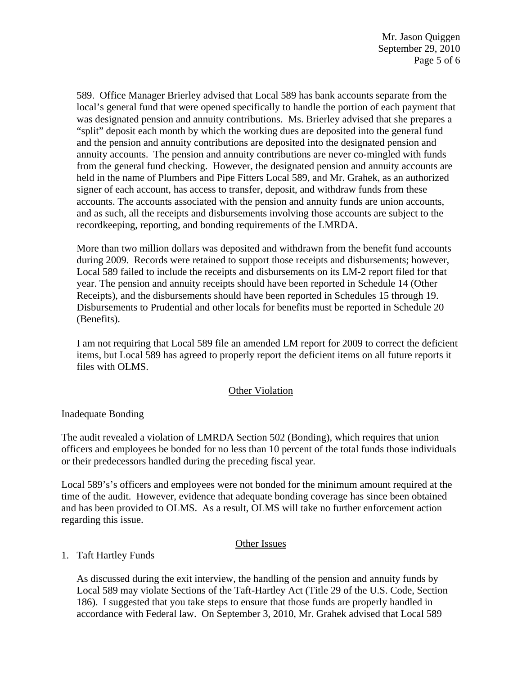589. Office Manager Brierley advised that Local 589 has bank accounts separate from the local's general fund that were opened specifically to handle the portion of each payment that was designated pension and annuity contributions. Ms. Brierley advised that she prepares a "split" deposit each month by which the working dues are deposited into the general fund and the pension and annuity contributions are deposited into the designated pension and annuity accounts. The pension and annuity contributions are never co-mingled with funds from the general fund checking. However, the designated pension and annuity accounts are held in the name of Plumbers and Pipe Fitters Local 589, and Mr. Grahek, as an authorized signer of each account, has access to transfer, deposit, and withdraw funds from these accounts. The accounts associated with the pension and annuity funds are union accounts, and as such, all the receipts and disbursements involving those accounts are subject to the recordkeeping, reporting, and bonding requirements of the LMRDA.

More than two million dollars was deposited and withdrawn from the benefit fund accounts during 2009. Records were retained to support those receipts and disbursements; however, Local 589 failed to include the receipts and disbursements on its LM-2 report filed for that year. The pension and annuity receipts should have been reported in Schedule 14 (Other Receipts), and the disbursements should have been reported in Schedules 15 through 19. Disbursements to Prudential and other locals for benefits must be reported in Schedule 20 (Benefits).

I am not requiring that Local 589 file an amended LM report for 2009 to correct the deficient items, but Local 589 has agreed to properly report the deficient items on all future reports it files with OLMS.

### Other Violation

Inadequate Bonding

The audit revealed a violation of LMRDA Section 502 (Bonding), which requires that union officers and employees be bonded for no less than 10 percent of the total funds those individuals or their predecessors handled during the preceding fiscal year.

Local 589's's officers and employees were not bonded for the minimum amount required at the time of the audit. However, evidence that adequate bonding coverage has since been obtained and has been provided to OLMS. As a result, OLMS will take no further enforcement action regarding this issue.

### Other Issues

# 1. Taft Hartley Funds

As discussed during the exit interview, the handling of the pension and annuity funds by Local 589 may violate Sections of the Taft-Hartley Act (Title 29 of the U.S. Code, Section 186). I suggested that you take steps to ensure that those funds are properly handled in accordance with Federal law. On September 3, 2010, Mr. Grahek advised that Local 589